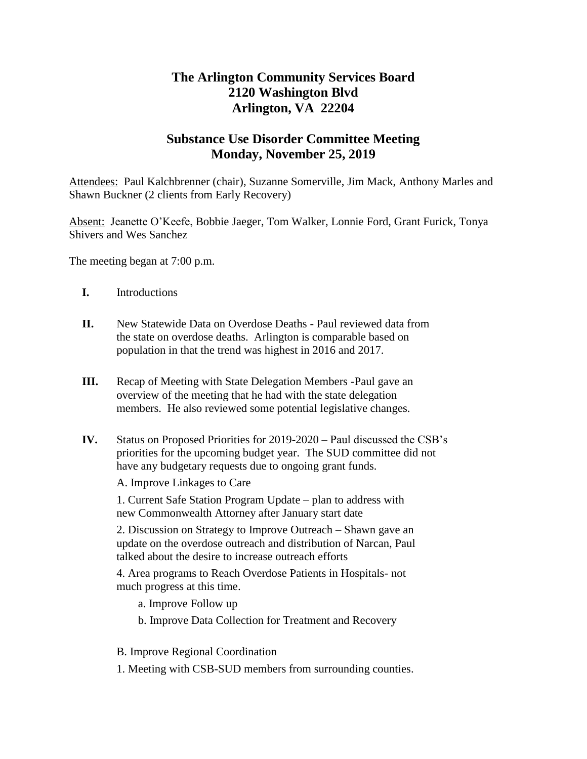## **The Arlington Community Services Board 2120 Washington Blvd Arlington, VA 22204**

## **Substance Use Disorder Committee Meeting Monday, November 25, 2019**

Attendees: Paul Kalchbrenner (chair), Suzanne Somerville, Jim Mack, Anthony Marles and Shawn Buckner (2 clients from Early Recovery)

Absent: Jeanette O'Keefe, Bobbie Jaeger, Tom Walker, Lonnie Ford, Grant Furick, Tonya Shivers and Wes Sanchez

The meeting began at 7:00 p.m.

- **I.** Introductions
- **II.** New Statewide Data on Overdose Deaths Paul reviewed data from the state on overdose deaths. Arlington is comparable based on population in that the trend was highest in 2016 and 2017.
- **III.** Recap of Meeting with State Delegation Members -Paul gave an overview of the meeting that he had with the state delegation members. He also reviewed some potential legislative changes.
- **IV.** Status on Proposed Priorities for 2019-2020 Paul discussed the CSB's priorities for the upcoming budget year. The SUD committee did not have any budgetary requests due to ongoing grant funds.

A. Improve Linkages to Care

1. Current Safe Station Program Update – plan to address with new Commonwealth Attorney after January start date

2. Discussion on Strategy to Improve Outreach – Shawn gave an update on the overdose outreach and distribution of Narcan, Paul talked about the desire to increase outreach efforts

4. Area programs to Reach Overdose Patients in Hospitals- not much progress at this time.

a. Improve Follow up

b. Improve Data Collection for Treatment and Recovery

- B. Improve Regional Coordination
- 1. Meeting with CSB-SUD members from surrounding counties.